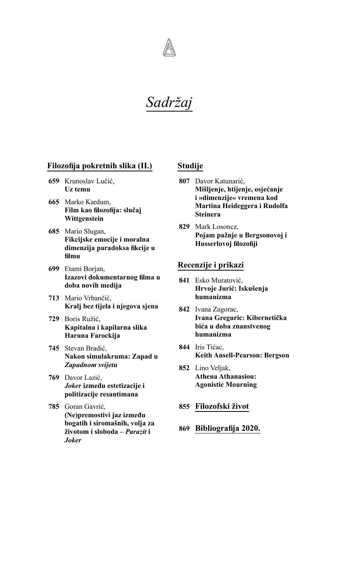# *Sadržaj*

# **Filozofija pokretnih slika (II.)**

- **659** Krunoslav Lučić, **Uz temu**
- **665** Marko Kardum, **Film kao filozofija: slučaj Wittgenstein**
- **685** Mario Slugan, **Fikcijske emocije i moralna dimenzija paradoksa fikcije u filmu**
- **699** Etami Borjan, **Izazovi dokumentarnog filma u doba novih medija**
- **713** Mario Vrbančić, **Kralj bez tijela i njegova sjena**
- **729** Boris Ružić, **Kapitalna i kapilarna slika Haruna Farockija**
- **745** Stevan Bradić, **Nakon simulakruma: Zapad u** *Zapadnom svijetu*
- **769** Davor Lazić, *Joker* **između estetizacije i politizacije resantimana**
- **785** Goran Gavrić, **(Ne)premostivi jaz između bogatih i siromašnih, volja za životom i sloboda –** *Parazit* **i**  *Joker*

# **Studije**

- **807** Davor Katunarić, **Mišljenje, htijenje, osjećanje i »dimenzije« vremena kod Martina Heideggera i Rudolfa Steinera**
- **829** Mark Losoncz, **Pojam pažnje u Bergsonovoj i Husserlovoj filozofiji**

### **Recenzije i prikazi**

- **841** Esko Muratović, **Hrvoje Jurić: Iskušenja humanizma**
- **842** Ivana Zagorac, **Ivana Greguric: Kibernetička bića u doba znanstvenog humanizma**
- **844** Iris Tićac, **Keith Ansell-Pearson: Bergson**
- **852** Lino Veljak, **Athena Athanasiou: Agonistic Mourning**
- **855 Filozofski život**
- **869 Bibliografija 2020.**